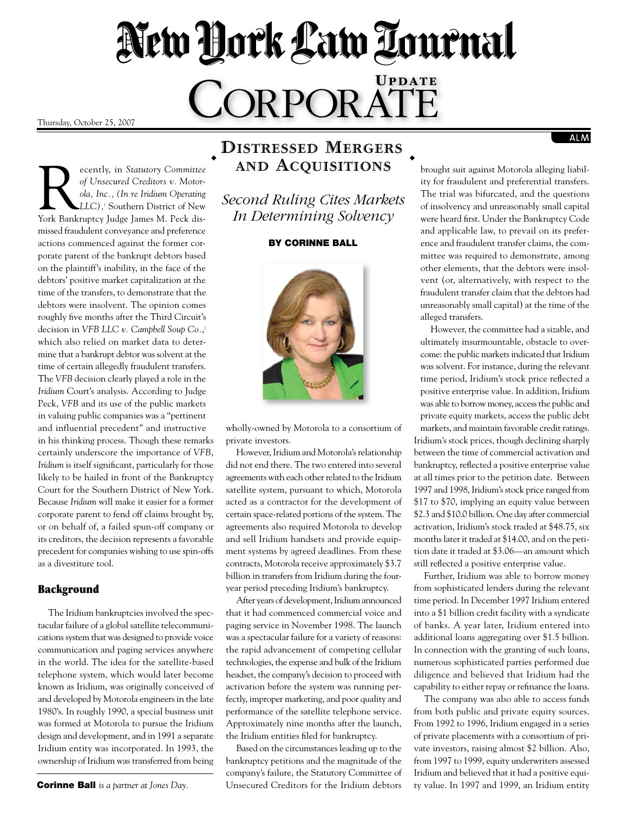# New York Law Tournal CORPORATE

Thursday, October 25, 2007

Recently, in *Statutory Committee of Unsecured Creditors v. Motorola, Inc., (In re Iridium Operating LLC),*<sup>1</sup> Southern District of New York Bankruptcy Judge James M. Peck dismissed fraudulent conveyance and preference actions commenced against the former corporate parent of the bankrupt debtors based on the plaintiff's inability, in the face of the debtors' positive market capitalization at the time of the transfers, to demonstrate that the debtors were insolvent. The opinion comes roughly five months after the Third Circuit's decision in *VFB LLC v. Campbell Soup Co.*, 2 which also relied on market data to determine that a bankrupt debtor was solvent at the time of certain allegedly fraudulent transfers. The *VFB* decision clearly played a role in the *Iridium* Court's analysis. According to Judge Peck, *VFB* and its use of the public markets in valuing public companies was a "pertinent and influential precedent" and instructive in his thinking process. Though these remarks certainly underscore the importance of *VFB*, *Iridium* is itself significant, particularly for those likely to be hailed in front of the Bankruptcy Court for the Southern District of New York. Because *Iridium* will make it easier for a former corporate parent to fend off claims brought by, or on behalf of, a failed spun-off company or its creditors, the decision represents a favorable precedent for companies wishing to use spin-offs as a divestiture tool. ◆

### Background

The Iridium bankruptcies involved the spectacular failure of a global satellite telecommunications system that was designed to provide voice communication and paging services anywhere in the world. The idea for the satellite-based telephone system, which would later become known as Iridium, was originally conceived of and developed by Motorola engineers in the late 1980's. In roughly 1990, a special business unit was formed at Motorola to pursue the Iridium design and development, and in 1991 a separate Iridium entity was incorporated. In 1993, the ownership of Iridium was transferred from being

## **Distressed Mergers** ◆ **and Acquisitions**

*Second Ruling Cites Markets In Determining Solvency*

#### By Corinne Ball



wholly-owned by Motorola to a consortium of private investors.

However, Iridium and Motorola's relationship did not end there. The two entered into several agreements with each other related to the Iridium satellite system, pursuant to which, Motorola acted as a contractor for the development of certain space-related portions of the system. The agreements also required Motorola to develop and sell Iridium handsets and provide equipment systems by agreed deadlines. From these contracts, Motorola receive approximately \$3.7 billion in transfers from Iridium during the fouryear period preceding Iridium's bankruptcy.

After years of development, Iridium announced that it had commenced commercial voice and paging service in November 1998. The launch was a spectacular failure for a variety of reasons: the rapid advancement of competing cellular technologies, the expense and bulk of the Iridium headset, the company's decision to proceed with activation before the system was running perfectly, improper marketing, and poor quality and performance of the satellite telephone service. Approximately nine months after the launch, the Iridium entities filed for bankruptcy.

Based on the circumstances leading up to the bankruptcy petitions and the magnitude of the company's failure, the Statutory Committee of Unsecured Creditors for the Iridium debtors brought suit against Motorola alleging liability for fraudulent and preferential transfers. The trial was bifurcated, and the questions of insolvency and unreasonably small capital were heard first. Under the Bankruptcy Code and applicable law, to prevail on its preference and fraudulent transfer claims, the committee was required to demonstrate, among other elements, that the debtors were insolvent (or, alternatively, with respect to the fraudulent transfer claim that the debtors had unreasonably small capital) at the time of the alleged transfers.

 $ALM$ 

However, the committee had a sizable, and ultimately insurmountable, obstacle to overcome: the public markets indicated that Iridium was solvent. For instance, during the relevant time period, Iridium's stock price reflected a positive enterprise value. In addition, Iridium was able to borrow money, access the public and private equity markets, access the public debt markets, and maintain favorable credit ratings. Iridium's stock prices, though declining sharply between the time of commercial activation and bankruptcy, reflected a positive enterprise value

at all times prior to the petition date. Between 1997 and 1998, Iridium's stock price ranged from \$17 to \$70, implying an equity value between \$2.3 and \$10.0 billion. One day after commercial activation, Iridium's stock traded at \$48.75, six months later it traded at \$14.00, and on the petition date it traded at \$3.06—an amount which still reflected a positive enterprise value.

Further, Iridium was able to borrow money from sophisticated lenders during the relevant time period. In December 1997 Iridium entered into a \$1 billion credit facility with a syndicate of banks. A year later, Iridium entered into additional loans aggregating over \$1.5 billion. In connection with the granting of such loans, numerous sophisticated parties performed due diligence and believed that Iridium had the capability to either repay or refinance the loans.

The company was also able to access funds from both public and private equity sources. From 1992 to 1996, Iridium engaged in a series of private placements with a consortium of private investors, raising almost \$2 billion. Also, from 1997 to 1999, equity underwriters assessed Iridium and believed that it had a positive equity value. In 1997 and 1999, an Iridium entity